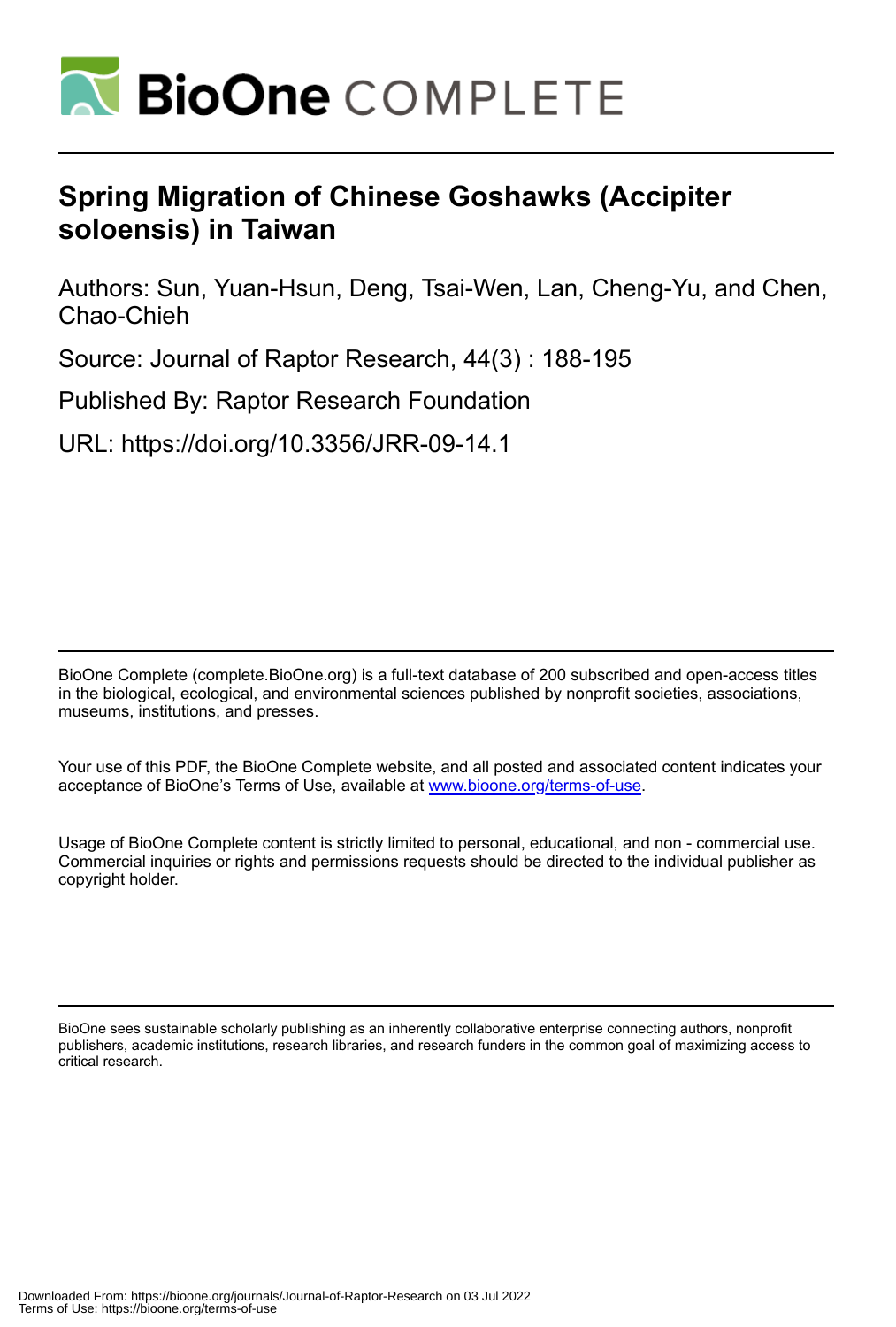

# **Spring Migration of Chinese Goshawks (Accipiter soloensis) in Taiwan**

Authors: Sun, Yuan-Hsun, Deng, Tsai-Wen, Lan, Cheng-Yu, and Chen, Chao-Chieh

Source: Journal of Raptor Research, 44(3) : 188-195

Published By: Raptor Research Foundation

URL: https://doi.org/10.3356/JRR-09-14.1

BioOne Complete (complete.BioOne.org) is a full-text database of 200 subscribed and open-access titles in the biological, ecological, and environmental sciences published by nonprofit societies, associations, museums, institutions, and presses.

Your use of this PDF, the BioOne Complete website, and all posted and associated content indicates your acceptance of BioOne's Terms of Use, available at www.bioone.org/terms-of-use.

Usage of BioOne Complete content is strictly limited to personal, educational, and non - commercial use. Commercial inquiries or rights and permissions requests should be directed to the individual publisher as copyright holder.

BioOne sees sustainable scholarly publishing as an inherently collaborative enterprise connecting authors, nonprofit publishers, academic institutions, research libraries, and research funders in the common goal of maximizing access to critical research.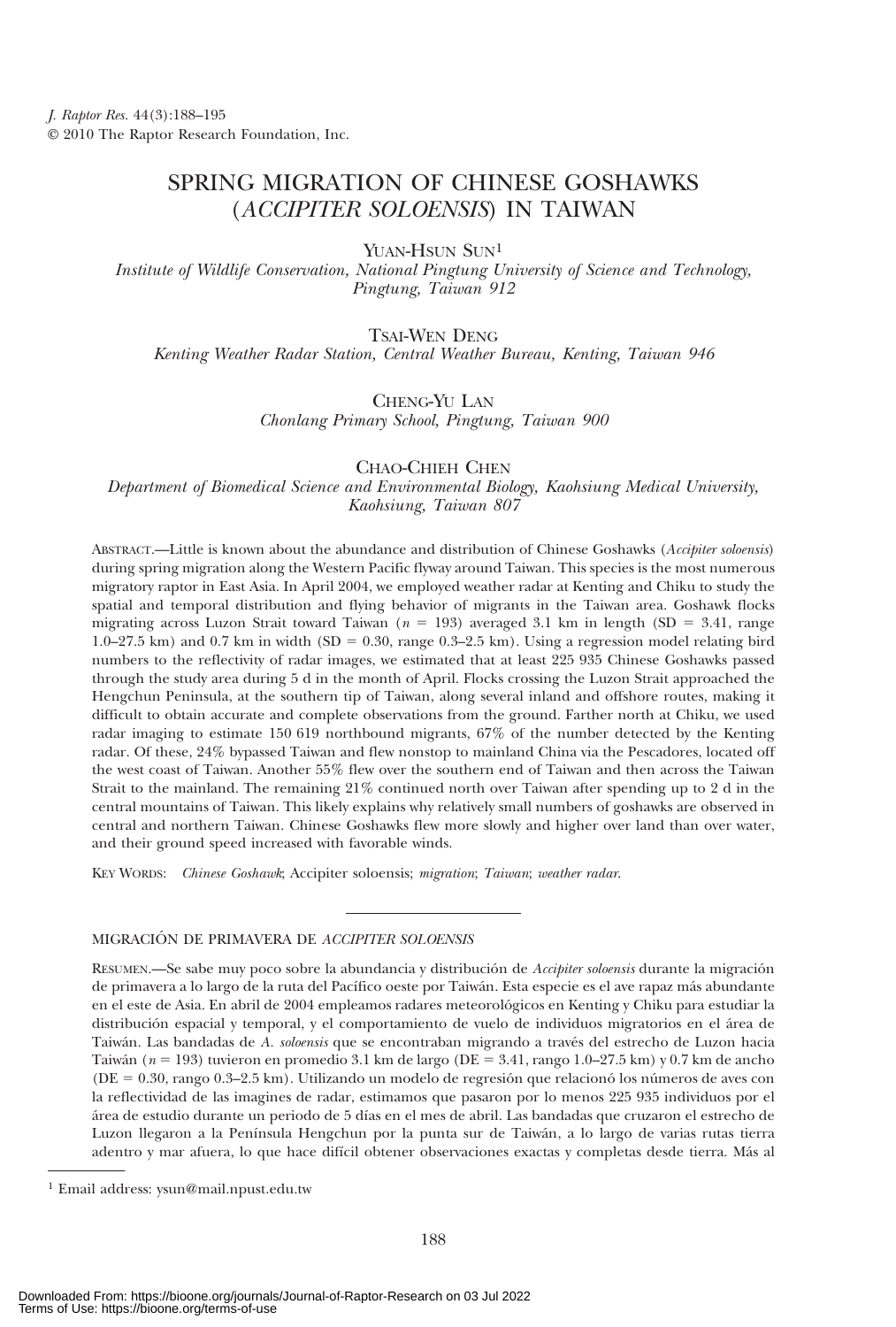# SPRING MIGRATION OF CHINESE GOSHAWKS (ACCIPITER SOLOENSIS) IN TAIWAN

YUAN-HSUN SUN<sup>1</sup>

Institute of Wildlife Conservation, National Pingtung University of Science and Technology, Pingtung, Taiwan 912

TSAI-WEN DENG

Kenting Weather Radar Station, Central Weather Bureau, Kenting, Taiwan 946

CHENG-YU LAN

Chonlang Primary School, Pingtung, Taiwan 900

CHAO-CHIEH CHEN

Department of Biomedical Science and Environmental Biology, Kaohsiung Medical University, Kaohsiung, Taiwan 807

ABSTRACT.—Little is known about the abundance and distribution of Chinese Goshawks (Accipiter soloensis) during spring migration along the Western Pacific flyway around Taiwan. This species is the most numerous migratory raptor in East Asia. In April 2004, we employed weather radar at Kenting and Chiku to study the spatial and temporal distribution and flying behavior of migrants in the Taiwan area. Goshawk flocks migrating across Luzon Strait toward Taiwan ( $n = 193$ ) averaged 3.1 km in length (SD = 3.41, range  $1.0$ –27.5 km) and 0.7 km in width (SD = 0.30, range 0.3–2.5 km). Using a regression model relating bird numbers to the reflectivity of radar images, we estimated that at least 225 935 Chinese Goshawks passed through the study area during 5 d in the month of April. Flocks crossing the Luzon Strait approached the Hengchun Peninsula, at the southern tip of Taiwan, along several inland and offshore routes, making it difficult to obtain accurate and complete observations from the ground. Farther north at Chiku, we used radar imaging to estimate 150 619 northbound migrants, 67% of the number detected by the Kenting radar. Of these, 24% bypassed Taiwan and flew nonstop to mainland China via the Pescadores, located off the west coast of Taiwan. Another 55% flew over the southern end of Taiwan and then across the Taiwan Strait to the mainland. The remaining 21% continued north over Taiwan after spending up to 2 d in the central mountains of Taiwan. This likely explains why relatively small numbers of goshawks are observed in central and northern Taiwan. Chinese Goshawks flew more slowly and higher over land than over water, and their ground speed increased with favorable winds.

KEY WORDS: Chinese Goshawk; Accipiter soloensis; migration; Taiwan; weather radar.

## MIGRACIÓN DE PRIMAVERA DE ACCIPITER SOLOENSIS

RESUMEN.—Se sabe muy poco sobre la abundancia y distribución de Accipiter soloensis durante la migración de primavera a lo largo de la ruta del Pacífico oeste por Taiwán. Esta especie es el ave rapaz más abundante en el este de Asia. En abril de 2004 empleamos radares meteorológicos en Kenting y Chiku para estudiar la distribución espacial y temporal, y el comportamiento de vuelo de individuos migratorios en el área de Taiwán. Las bandadas de A. soloensis que se encontraban migrando a través del estrecho de Luzon hacia Taiwán ( $n = 193$ ) tuvieron en promedio 3.1 km de largo (DE = 3.41, rango 1.0–27.5 km) y 0.7 km de ancho  $(DE = 0.30, \text{range } 0.3–2.5 \text{ km})$ . Utilizando un modelo de regresión que relacionó los números de aves con la reflectividad de las imagines de radar, estimamos que pasaron por lo menos 225 935 individuos por el área de estudio durante un periodo de 5 días en el mes de abril. Las bandadas que cruzaron el estrecho de Luzon llegaron a la Península Hengchun por la punta sur de Taiwán, a lo largo de varias rutas tierra adentro y mar afuera, lo que hace difícil obtener observaciones exactas y completas desde tierra. Más al

<sup>1</sup> Email address: ysun@mail.npust.edu.tw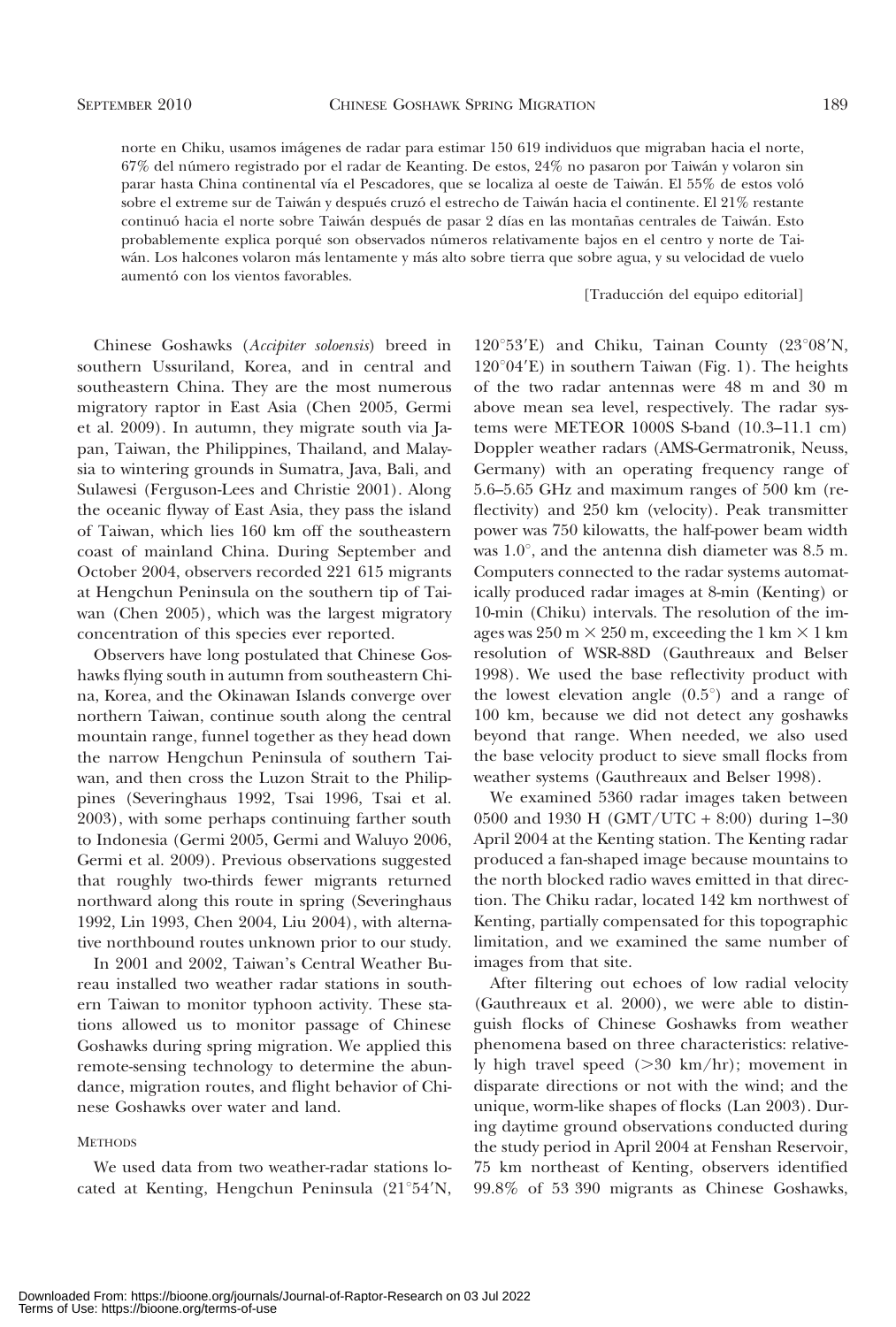norte en Chiku, usamos imágenes de radar para estimar 150 619 individuos que migraban hacia el norte, 67% del número registrado por el radar de Keanting. De estos, 24% no pasaron por Taiwán y volaron sin parar hasta China continental vía el Pescadores, que se localiza al oeste de Taiwán. El 55% de estos voló sobre el extreme sur de Taiwán y después cruzó el estrecho de Taiwán hacia el continente. El 21% restante continuó hacia el norte sobre Taiwán después de pasar 2 días en las montañas centrales de Taiwán. Esto probablemente explica porqué son observados números relativamente bajos en el centro y norte de Taiwán. Los halcones volaron más lentamente y más alto sobre tierra que sobre agua, y su velocidad de vuelo aumentó con los vientos favorables.

### [Traducción del equipo editorial]

Chinese Goshawks (Accipiter soloensis) breed in southern Ussuriland, Korea, and in central and southeastern China. They are the most numerous migratory raptor in East Asia (Chen 2005, Germi et al. 2009). In autumn, they migrate south via Japan, Taiwan, the Philippines, Thailand, and Malaysia to wintering grounds in Sumatra, Java, Bali, and Sulawesi (Ferguson-Lees and Christie 2001). Along the oceanic flyway of East Asia, they pass the island of Taiwan, which lies 160 km off the southeastern coast of mainland China. During September and October 2004, observers recorded 221 615 migrants at Hengchun Peninsula on the southern tip of Taiwan (Chen 2005), which was the largest migratory concentration of this species ever reported.

Observers have long postulated that Chinese Goshawks flying south in autumn from southeastern China, Korea, and the Okinawan Islands converge over northern Taiwan, continue south along the central mountain range, funnel together as they head down the narrow Hengchun Peninsula of southern Taiwan, and then cross the Luzon Strait to the Philippines (Severinghaus 1992, Tsai 1996, Tsai et al. 2003), with some perhaps continuing farther south to Indonesia (Germi 2005, Germi and Waluyo 2006, Germi et al. 2009). Previous observations suggested that roughly two-thirds fewer migrants returned northward along this route in spring (Severinghaus 1992, Lin 1993, Chen 2004, Liu 2004), with alternative northbound routes unknown prior to our study.

In 2001 and 2002, Taiwan's Central Weather Bureau installed two weather radar stations in southern Taiwan to monitor typhoon activity. These stations allowed us to monitor passage of Chinese Goshawks during spring migration. We applied this remote-sensing technology to determine the abundance, migration routes, and flight behavior of Chinese Goshawks over water and land.

# **METHODS**

We used data from two weather-radar stations located at Kenting, Hengchun Peninsula  $(21°54'N,$ 

 $120^{\circ}53'E$ ) and Chiku, Tainan County (23°08'N,  $120^{\circ}04'E$ ) in southern Taiwan (Fig. 1). The heights of the two radar antennas were 48 m and 30 m above mean sea level, respectively. The radar systems were METEOR 1000S S-band (10.3–11.1 cm) Doppler weather radars (AMS-Germatronik, Neuss, Germany) with an operating frequency range of 5.6–5.65 GHz and maximum ranges of 500 km (reflectivity) and 250 km (velocity). Peak transmitter power was 750 kilowatts, the half-power beam width was  $1.0^{\circ}$ , and the antenna dish diameter was 8.5 m. Computers connected to the radar systems automatically produced radar images at 8-min (Kenting) or 10-min (Chiku) intervals. The resolution of the images was  $250 \text{ m} \times 250 \text{ m}$ , exceeding the 1 km  $\times$  1 km resolution of WSR-88D (Gauthreaux and Belser 1998). We used the base reflectivity product with the lowest elevation angle  $(0.5^{\circ})$  and a range of 100 km, because we did not detect any goshawks beyond that range. When needed, we also used the base velocity product to sieve small flocks from weather systems (Gauthreaux and Belser 1998).

We examined 5360 radar images taken between 0500 and 1930 H (GMT/UTC + 8:00) during 1–30 April 2004 at the Kenting station. The Kenting radar produced a fan-shaped image because mountains to the north blocked radio waves emitted in that direction. The Chiku radar, located 142 km northwest of Kenting, partially compensated for this topographic limitation, and we examined the same number of images from that site.

After filtering out echoes of low radial velocity (Gauthreaux et al. 2000), we were able to distinguish flocks of Chinese Goshawks from weather phenomena based on three characteristics: relatively high travel speed  $(>30 \text{ km/hr})$ ; movement in disparate directions or not with the wind; and the unique, worm-like shapes of flocks (Lan 2003). During daytime ground observations conducted during the study period in April 2004 at Fenshan Reservoir, 75 km northeast of Kenting, observers identified 99.8% of 53 390 migrants as Chinese Goshawks,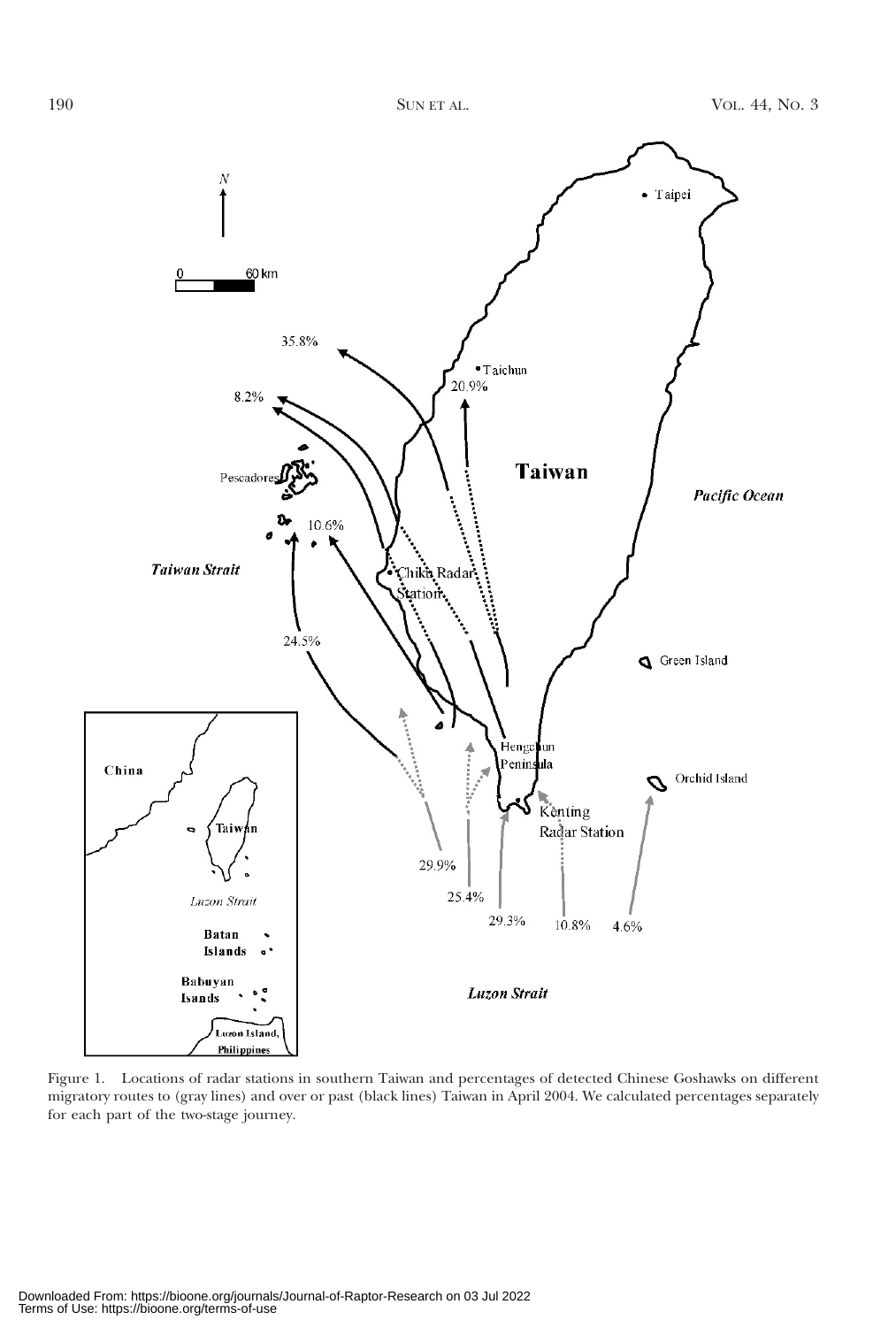

Figure 1. Locations of radar stations in southern Taiwan and percentages of detected Chinese Goshawks on different migratory routes to (gray lines) and over or past (black lines) Taiwan in April 2004. We calculated percentages separately for each part of the two-stage journey.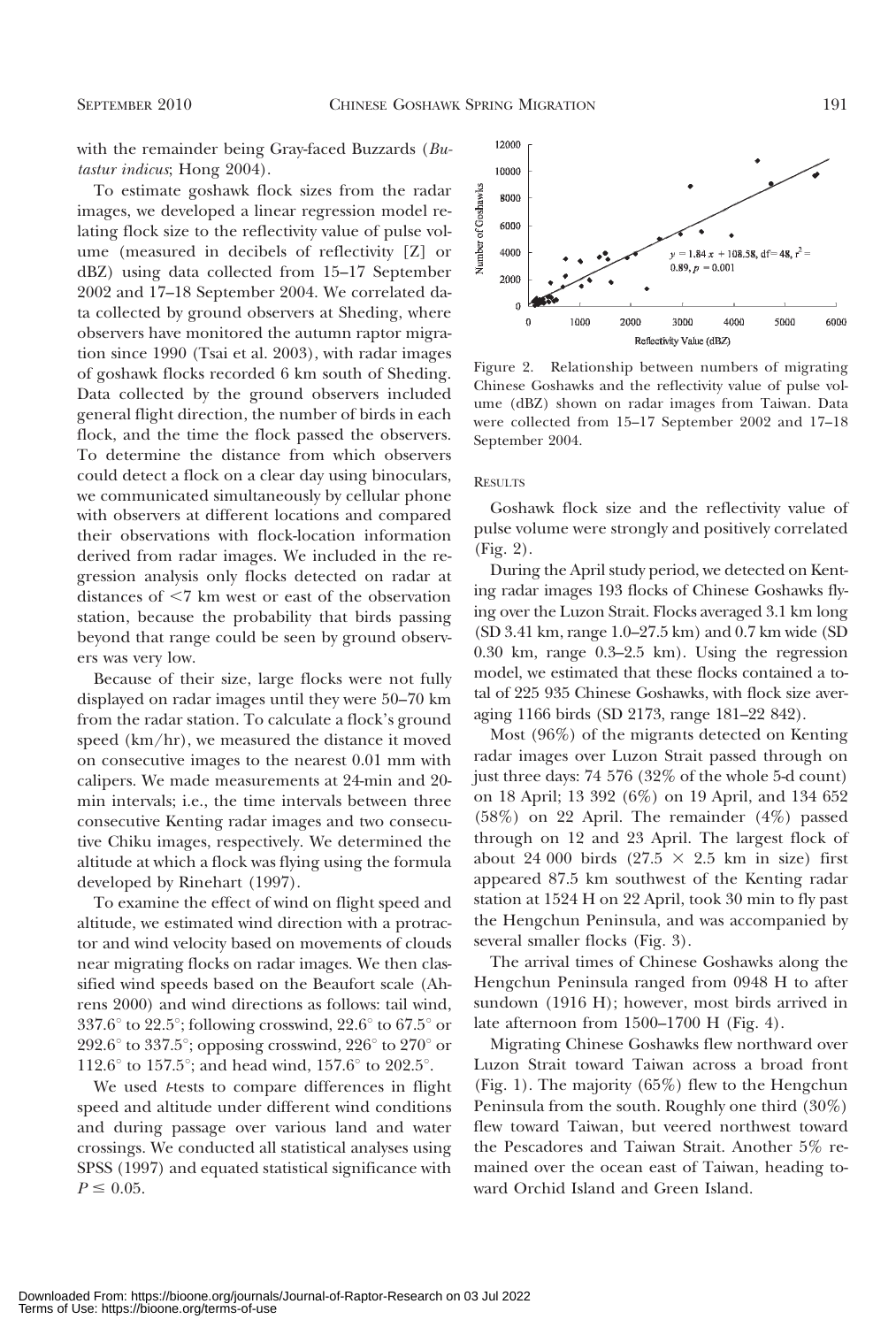with the remainder being Gray-faced Buzzards (Butastur indicus; Hong 2004).

To estimate goshawk flock sizes from the radar images, we developed a linear regression model relating flock size to the reflectivity value of pulse volume (measured in decibels of reflectivity [Z] or dBZ) using data collected from 15–17 September 2002 and 17–18 September 2004. We correlated data collected by ground observers at Sheding, where observers have monitored the autumn raptor migration since 1990 (Tsai et al. 2003), with radar images of goshawk flocks recorded 6 km south of Sheding. Data collected by the ground observers included general flight direction, the number of birds in each flock, and the time the flock passed the observers. To determine the distance from which observers could detect a flock on a clear day using binoculars, we communicated simultaneously by cellular phone with observers at different locations and compared their observations with flock-location information derived from radar images. We included in the regression analysis only flocks detected on radar at distances of  $\leq 7$  km west or east of the observation station, because the probability that birds passing beyond that range could be seen by ground observers was very low.

Because of their size, large flocks were not fully displayed on radar images until they were 50–70 km from the radar station. To calculate a flock's ground speed (km/hr), we measured the distance it moved on consecutive images to the nearest 0.01 mm with calipers. We made measurements at 24-min and 20 min intervals; i.e., the time intervals between three consecutive Kenting radar images and two consecutive Chiku images, respectively. We determined the altitude at which a flock was flying using the formula developed by Rinehart (1997).

To examine the effect of wind on flight speed and altitude, we estimated wind direction with a protractor and wind velocity based on movements of clouds near migrating flocks on radar images. We then classified wind speeds based on the Beaufort scale (Ahrens 2000) and wind directions as follows: tail wind, 337.6 $\degree$  to 22.5 $\degree$ ; following crosswind, 22.6 $\degree$  to 67.5 $\degree$  or 292.6 $\degree$  to 337.5 $\degree$ ; opposing crosswind, 226 $\degree$  to 270 $\degree$  or 112.6 $\degree$  to 157.5 $\degree$ ; and head wind, 157.6 $\degree$  to 202.5 $\degree$ .

We used *t*-tests to compare differences in flight speed and altitude under different wind conditions and during passage over various land and water crossings. We conducted all statistical analyses using SPSS (1997) and equated statistical significance with  $P \le 0.05.$ 



Figure 2. Relationship between numbers of migrating Chinese Goshawks and the reflectivity value of pulse volume (dBZ) shown on radar images from Taiwan. Data were collected from 15–17 September 2002 and 17–18 September 2004.

#### RESULTS

Goshawk flock size and the reflectivity value of pulse volume were strongly and positively correlated (Fig. 2).

During the April study period, we detected on Kenting radar images 193 flocks of Chinese Goshawks flying over the Luzon Strait. Flocks averaged 3.1 km long (SD 3.41 km, range 1.0–27.5 km) and 0.7 km wide (SD 0.30 km, range 0.3–2.5 km). Using the regression model, we estimated that these flocks contained a total of 225 935 Chinese Goshawks, with flock size averaging 1166 birds (SD 2173, range 181–22 842).

Most (96%) of the migrants detected on Kenting radar images over Luzon Strait passed through on just three days: 74 576 (32% of the whole 5-d count) on 18 April; 13 392 (6%) on 19 April, and 134 652 (58%) on 22 April. The remainder (4%) passed through on 12 and 23 April. The largest flock of about 24 000 birds (27.5  $\times$  2.5 km in size) first appeared 87.5 km southwest of the Kenting radar station at 1524 H on 22 April, took 30 min to fly past the Hengchun Peninsula, and was accompanied by several smaller flocks (Fig. 3).

The arrival times of Chinese Goshawks along the Hengchun Peninsula ranged from 0948 H to after sundown (1916 H); however, most birds arrived in late afternoon from 1500–1700 H (Fig. 4).

Migrating Chinese Goshawks flew northward over Luzon Strait toward Taiwan across a broad front (Fig. 1). The majority (65%) flew to the Hengchun Peninsula from the south. Roughly one third (30%) flew toward Taiwan, but veered northwest toward the Pescadores and Taiwan Strait. Another 5% remained over the ocean east of Taiwan, heading toward Orchid Island and Green Island.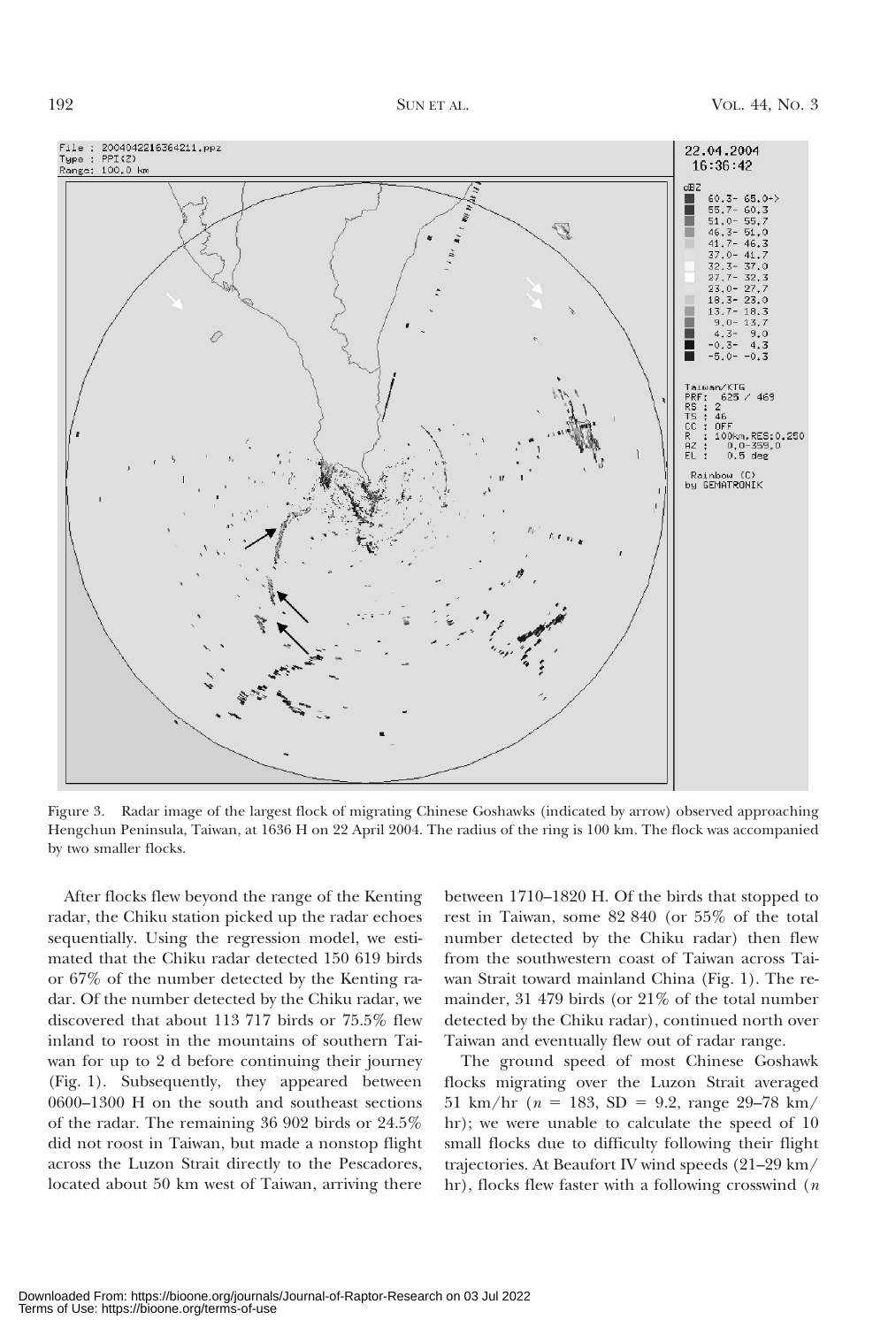

Figure 3. Radar image of the largest flock of migrating Chinese Goshawks (indicated by arrow) observed approaching Hengchun Peninsula, Taiwan, at 1636 H on 22 April 2004. The radius of the ring is 100 km. The flock was accompanied by two smaller flocks.

After flocks flew beyond the range of the Kenting radar, the Chiku station picked up the radar echoes sequentially. Using the regression model, we estimated that the Chiku radar detected 150 619 birds or 67% of the number detected by the Kenting radar. Of the number detected by the Chiku radar, we discovered that about 113 717 birds or 75.5% flew inland to roost in the mountains of southern Taiwan for up to 2 d before continuing their journey (Fig. 1). Subsequently, they appeared between 0600–1300 H on the south and southeast sections of the radar. The remaining 36 902 birds or 24.5% did not roost in Taiwan, but made a nonstop flight across the Luzon Strait directly to the Pescadores, located about 50 km west of Taiwan, arriving there

between 1710–1820 H. Of the birds that stopped to rest in Taiwan, some 82 840 (or 55% of the total number detected by the Chiku radar) then flew from the southwestern coast of Taiwan across Taiwan Strait toward mainland China (Fig. 1). The remainder, 31 479 birds (or 21% of the total number detected by the Chiku radar), continued north over Taiwan and eventually flew out of radar range.

The ground speed of most Chinese Goshawk flocks migrating over the Luzon Strait averaged 51 km/hr ( $n = 183$ , SD = 9.2, range 29–78 km/ hr); we were unable to calculate the speed of 10 small flocks due to difficulty following their flight trajectories. At Beaufort IV wind speeds (21–29 km/ hr), flocks flew faster with a following crosswind  $(n)$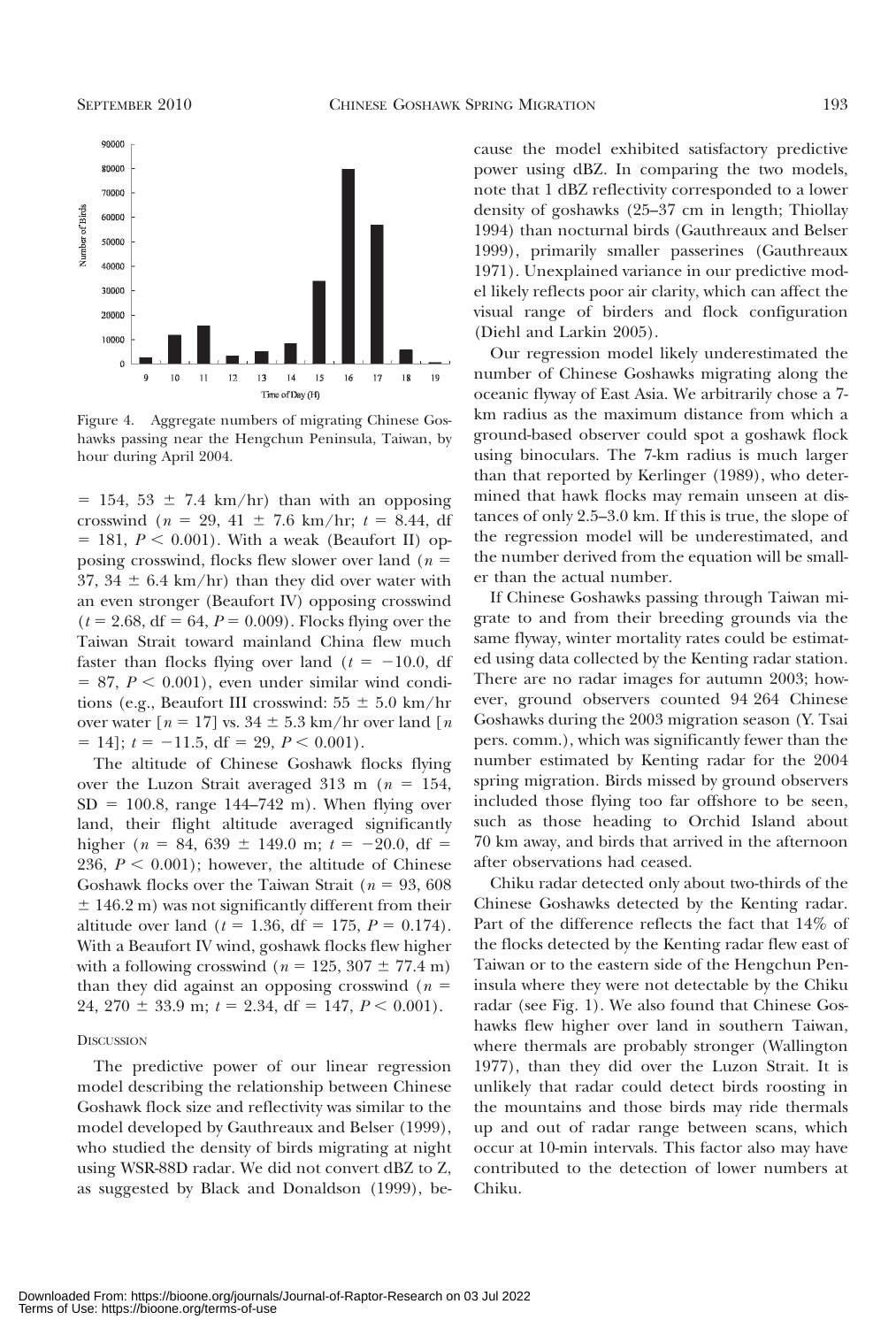

Figure 4. Aggregate numbers of migrating Chinese Goshawks passing near the Hengchun Peninsula, Taiwan, by hour during April 2004.

 $= 154, 53 \pm 7.4$  km/hr) than with an opposing crosswind ( $n = 29, 41 \pm 7.6$  km/hr;  $t = 8.44$ , df  $= 181, P < 0.001$ ). With a weak (Beaufort II) opposing crosswind, flocks flew slower over land ( $n =$ 37, 34  $\pm$  6.4 km/hr) than they did over water with an even stronger (Beaufort IV) opposing crosswind  $(t = 2.68, df = 64, P = 0.009)$ . Flocks flying over the Taiwan Strait toward mainland China flew much faster than flocks flying over land  $(t = -10.0, df)$  $= 87, P < 0.001$ , even under similar wind conditions (e.g., Beaufort III crosswind:  $55 \pm 5.0 \text{ km/hr}$ over water  $[n = 17]$  vs.  $34 \pm 5.3$  km/hr over land  $[n]$  $= 14$ ;  $t = -11.5$ , df = 29,  $P < 0.001$ ).

The altitude of Chinese Goshawk flocks flying over the Luzon Strait averaged 313 m ( $n = 154$ ,  $SD = 100.8$ , range 144–742 m). When flying over land, their flight altitude averaged significantly higher ( $n = 84, 639 \pm 149.0$  m;  $t = -20.0$ , df = 236,  $P < 0.001$ ); however, the altitude of Chinese Goshawk flocks over the Taiwan Strait ( $n = 93,608$ )  $\pm$  146.2 m) was not significantly different from their altitude over land ( $t = 1.36$ , df = 175,  $P = 0.174$ ). With a Beaufort IV wind, goshawk flocks flew higher with a following crosswind ( $n = 125, 307 \pm 77.4$  m) than they did against an opposing crosswind ( $n =$ 24, 270  $\pm$  33.9 m;  $t = 2.34$ , df = 147,  $P \le 0.001$ ).

#### **DISCUSSION**

The predictive power of our linear regression model describing the relationship between Chinese Goshawk flock size and reflectivity was similar to the model developed by Gauthreaux and Belser (1999), who studied the density of birds migrating at night using WSR-88D radar. We did not convert dBZ to Z, as suggested by Black and Donaldson (1999), because the model exhibited satisfactory predictive power using dBZ. In comparing the two models, note that 1 dBZ reflectivity corresponded to a lower density of goshawks (25–37 cm in length; Thiollay 1994) than nocturnal birds (Gauthreaux and Belser 1999), primarily smaller passerines (Gauthreaux 1971). Unexplained variance in our predictive model likely reflects poor air clarity, which can affect the visual range of birders and flock configuration (Diehl and Larkin 2005).

Our regression model likely underestimated the number of Chinese Goshawks migrating along the oceanic flyway of East Asia. We arbitrarily chose a 7 km radius as the maximum distance from which a ground-based observer could spot a goshawk flock using binoculars. The 7-km radius is much larger than that reported by Kerlinger (1989), who determined that hawk flocks may remain unseen at distances of only 2.5–3.0 km. If this is true, the slope of the regression model will be underestimated, and the number derived from the equation will be smaller than the actual number.

If Chinese Goshawks passing through Taiwan migrate to and from their breeding grounds via the same flyway, winter mortality rates could be estimated using data collected by the Kenting radar station. There are no radar images for autumn 2003; however, ground observers counted 94 264 Chinese Goshawks during the 2003 migration season (Y. Tsai pers. comm.), which was significantly fewer than the number estimated by Kenting radar for the 2004 spring migration. Birds missed by ground observers included those flying too far offshore to be seen, such as those heading to Orchid Island about 70 km away, and birds that arrived in the afternoon after observations had ceased.

Chiku radar detected only about two-thirds of the Chinese Goshawks detected by the Kenting radar. Part of the difference reflects the fact that 14% of the flocks detected by the Kenting radar flew east of Taiwan or to the eastern side of the Hengchun Peninsula where they were not detectable by the Chiku radar (see Fig. 1). We also found that Chinese Goshawks flew higher over land in southern Taiwan, where thermals are probably stronger (Wallington 1977), than they did over the Luzon Strait. It is unlikely that radar could detect birds roosting in the mountains and those birds may ride thermals up and out of radar range between scans, which occur at 10-min intervals. This factor also may have contributed to the detection of lower numbers at Chiku.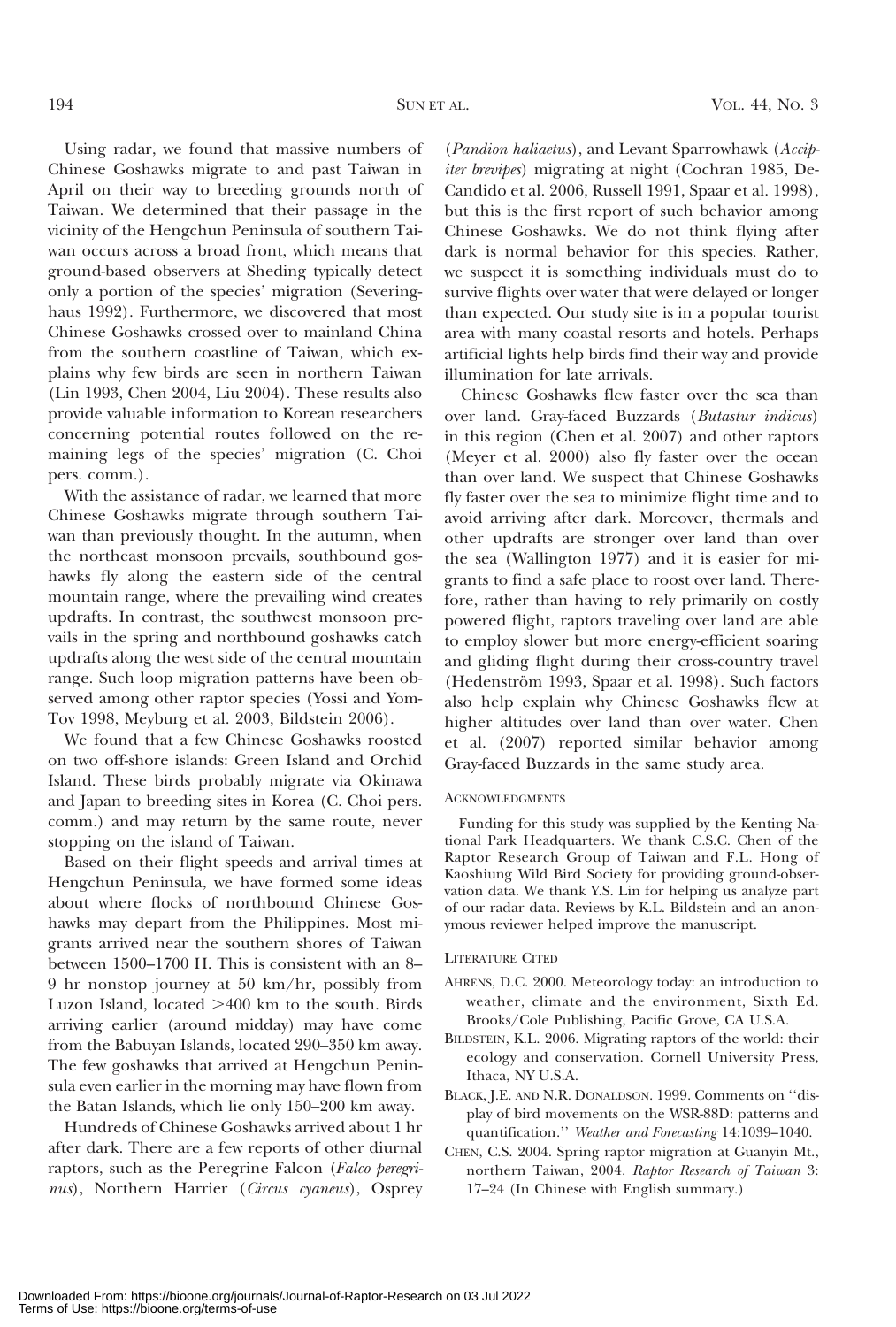Using radar, we found that massive numbers of Chinese Goshawks migrate to and past Taiwan in April on their way to breeding grounds north of Taiwan. We determined that their passage in the vicinity of the Hengchun Peninsula of southern Taiwan occurs across a broad front, which means that ground-based observers at Sheding typically detect only a portion of the species' migration (Severinghaus 1992). Furthermore, we discovered that most Chinese Goshawks crossed over to mainland China from the southern coastline of Taiwan, which explains why few birds are seen in northern Taiwan (Lin 1993, Chen 2004, Liu 2004). These results also provide valuable information to Korean researchers concerning potential routes followed on the remaining legs of the species' migration (C. Choi pers. comm.).

With the assistance of radar, we learned that more Chinese Goshawks migrate through southern Taiwan than previously thought. In the autumn, when the northeast monsoon prevails, southbound goshawks fly along the eastern side of the central mountain range, where the prevailing wind creates updrafts. In contrast, the southwest monsoon prevails in the spring and northbound goshawks catch updrafts along the west side of the central mountain range. Such loop migration patterns have been observed among other raptor species (Yossi and Yom-Tov 1998, Meyburg et al. 2003, Bildstein 2006).

We found that a few Chinese Goshawks roosted on two off-shore islands: Green Island and Orchid Island. These birds probably migrate via Okinawa and Japan to breeding sites in Korea (C. Choi pers. comm.) and may return by the same route, never stopping on the island of Taiwan.

Based on their flight speeds and arrival times at Hengchun Peninsula, we have formed some ideas about where flocks of northbound Chinese Goshawks may depart from the Philippines. Most migrants arrived near the southern shores of Taiwan between 1500–1700 H. This is consistent with an 8– 9 hr nonstop journey at 50 km/hr, possibly from Luzon Island, located  $>400$  km to the south. Birds arriving earlier (around midday) may have come from the Babuyan Islands, located 290–350 km away. The few goshawks that arrived at Hengchun Peninsula even earlier in the morning may have flown from the Batan Islands, which lie only 150–200 km away.

Hundreds of Chinese Goshawks arrived about 1 hr after dark. There are a few reports of other diurnal raptors, such as the Peregrine Falcon (Falco peregrinus), Northern Harrier (Circus cyaneus), Osprey

(Pandion haliaetus), and Levant Sparrowhawk (Accipiter brevipes) migrating at night (Cochran 1985, De-Candido et al. 2006, Russell 1991, Spaar et al. 1998), but this is the first report of such behavior among Chinese Goshawks. We do not think flying after dark is normal behavior for this species. Rather, we suspect it is something individuals must do to survive flights over water that were delayed or longer than expected. Our study site is in a popular tourist area with many coastal resorts and hotels. Perhaps artificial lights help birds find their way and provide illumination for late arrivals.

Chinese Goshawks flew faster over the sea than over land. Gray-faced Buzzards (Butastur indicus) in this region (Chen et al. 2007) and other raptors (Meyer et al. 2000) also fly faster over the ocean than over land. We suspect that Chinese Goshawks fly faster over the sea to minimize flight time and to avoid arriving after dark. Moreover, thermals and other updrafts are stronger over land than over the sea (Wallington 1977) and it is easier for migrants to find a safe place to roost over land. Therefore, rather than having to rely primarily on costly powered flight, raptors traveling over land are able to employ slower but more energy-efficient soaring and gliding flight during their cross-country travel (Hedenström 1993, Spaar et al. 1998). Such factors also help explain why Chinese Goshawks flew at higher altitudes over land than over water. Chen et al. (2007) reported similar behavior among Gray-faced Buzzards in the same study area.

### ACKNOWLEDGMENTS

Funding for this study was supplied by the Kenting National Park Headquarters. We thank C.S.C. Chen of the Raptor Research Group of Taiwan and F.L. Hong of Kaoshiung Wild Bird Society for providing ground-observation data. We thank Y.S. Lin for helping us analyze part of our radar data. Reviews by K.L. Bildstein and an anonymous reviewer helped improve the manuscript.

#### LITERATURE CITED

- AHRENS, D.C. 2000. Meteorology today: an introduction to weather, climate and the environment, Sixth Ed. Brooks/Cole Publishing, Pacific Grove, CA U.S.A.
- BILDSTEIN, K.L. 2006. Migrating raptors of the world: their ecology and conservation. Cornell University Press, Ithaca, NY U.S.A.
- BLACK, J.E. AND N.R. DONALDSON. 1999. Comments on ''display of bird movements on the WSR-88D: patterns and quantification.'' Weather and Forecasting 14:1039–1040.
- CHEN, C.S. 2004. Spring raptor migration at Guanyin Mt., northern Taiwan, 2004. Raptor Research of Taiwan 3: 17–24 (In Chinese with English summary.)